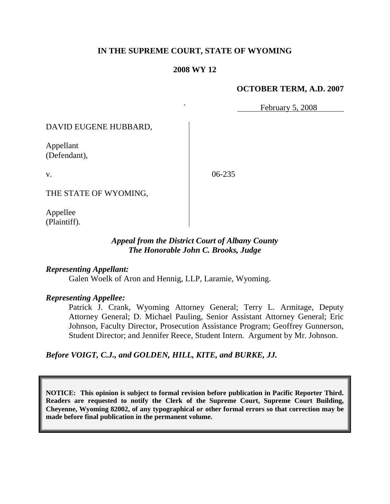### **IN THE SUPREME COURT, STATE OF WYOMING**

#### **2008 WY 12**

#### **OCTOBER TERM, A.D. 2007**

February 5, 2008

DAVID EUGENE HUBBARD,

Appellant (Defendant),

v.

06-235

THE STATE OF WYOMING,

Appellee (Plaintiff).

### *Appeal from the District Court of Albany County The Honorable John C. Brooks, Judge*

#### *Representing Appellant:*

Galen Woelk of Aron and Hennig, LLP, Laramie, Wyoming.

#### *Representing Appellee:*

Patrick J. Crank, Wyoming Attorney General; Terry L. Armitage, Deputy Attorney General; D. Michael Pauling, Senior Assistant Attorney General; Eric Johnson, Faculty Director, Prosecution Assistance Program; Geoffrey Gunnerson, Student Director; and Jennifer Reece, Student Intern. Argument by Mr. Johnson.

*Before VOIGT, C.J., and GOLDEN, HILL, KITE, and BURKE, JJ.*

**NOTICE: This opinion is subject to formal revision before publication in Pacific Reporter Third. Readers are requested to notify the Clerk of the Supreme Court, Supreme Court Building, Cheyenne, Wyoming 82002, of any typographical or other formal errors so that correction may be made before final publication in the permanent volume.**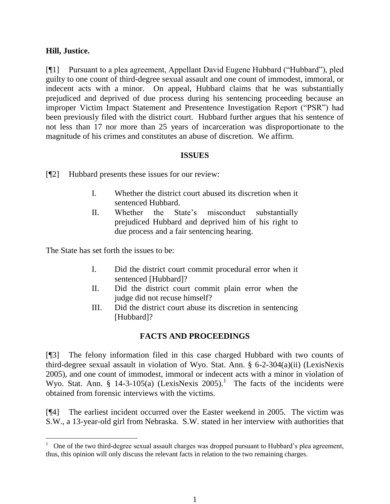### **Hill, Justice.**

l

[¶1] Pursuant to a plea agreement, Appellant David Eugene Hubbard ("Hubbard"), pled guilty to one count of third-degree sexual assault and one count of immodest, immoral, or indecent acts with a minor. On appeal, Hubbard claims that he was substantially prejudiced and deprived of due process during his sentencing proceeding because an improper Victim Impact Statement and Presentence Investigation Report ("PSR") had been previously filed with the district court. Hubbard further argues that his sentence of not less than 17 nor more than 25 years of incarceration was disproportionate to the magnitude of his crimes and constitutes an abuse of discretion. We affirm.

### **ISSUES**

[¶2] Hubbard presents these issues for our review:

- I. Whether the district court abused its discretion when it sentenced Hubbard.
- II. Whether the State's misconduct substantially prejudiced Hubbard and deprived him of his right to due process and a fair sentencing hearing.

The State has set forth the issues to be:

- I. Did the district court commit procedural error when it sentenced [Hubbard]?
- II. Did the district court commit plain error when the judge did not recuse himself?
- III. Did the district court abuse its discretion in sentencing [Hubbard]?

# **FACTS AND PROCEEDINGS**

[¶3] The felony information filed in this case charged Hubbard with two counts of third-degree sexual assault in violation of Wyo. Stat. Ann. § 6-2-304(a)(ii) (LexisNexis 2005), and one count of immodest, immoral or indecent acts with a minor in violation of Wyo. Stat. Ann. § 14-3-105(a) (LexisNexis 2005).<sup>1</sup> The facts of the incidents were obtained from forensic interviews with the victims.

[¶4] The earliest incident occurred over the Easter weekend in 2005. The victim was S.W., a 13-year-old girl from Nebraska. S.W. stated in her interview with authorities that

<sup>&</sup>lt;sup>1</sup> One of the two third-degree sexual assault charges was dropped pursuant to Hubbard's plea agreement, thus, this opinion will only discuss the relevant facts in relation to the two remaining charges.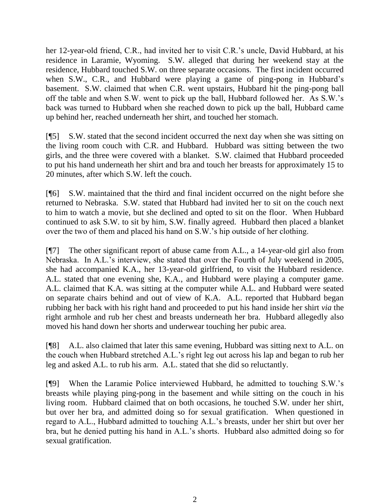her 12-year-old friend, C.R., had invited her to visit C.R.'s uncle, David Hubbard, at his residence in Laramie, Wyoming. S.W. alleged that during her weekend stay at the residence, Hubbard touched S.W. on three separate occasions. The first incident occurred when S.W., C.R., and Hubbard were playing a game of ping-pong in Hubbard's basement. S.W. claimed that when C.R. went upstairs, Hubbard hit the ping-pong ball off the table and when S.W. went to pick up the ball, Hubbard followed her. As S.W.'s back was turned to Hubbard when she reached down to pick up the ball, Hubbard came up behind her, reached underneath her shirt, and touched her stomach.

[¶5] S.W. stated that the second incident occurred the next day when she was sitting on the living room couch with C.R. and Hubbard. Hubbard was sitting between the two girls, and the three were covered with a blanket. S.W. claimed that Hubbard proceeded to put his hand underneath her shirt and bra and touch her breasts for approximately 15 to 20 minutes, after which S.W. left the couch.

[¶6] S.W. maintained that the third and final incident occurred on the night before she returned to Nebraska. S.W. stated that Hubbard had invited her to sit on the couch next to him to watch a movie, but she declined and opted to sit on the floor. When Hubbard continued to ask S.W. to sit by him, S.W. finally agreed. Hubbard then placed a blanket over the two of them and placed his hand on S.W.'s hip outside of her clothing.

[¶7] The other significant report of abuse came from A.L., a 14-year-old girl also from Nebraska. In A.L.'s interview, she stated that over the Fourth of July weekend in 2005, she had accompanied K.A., her 13-year-old girlfriend, to visit the Hubbard residence. A.L. stated that one evening she, K.A., and Hubbard were playing a computer game. A.L. claimed that K.A. was sitting at the computer while A.L. and Hubbard were seated on separate chairs behind and out of view of K.A. A.L. reported that Hubbard began rubbing her back with his right hand and proceeded to put his hand inside her shirt *via* the right armhole and rub her chest and breasts underneath her bra. Hubbard allegedly also moved his hand down her shorts and underwear touching her pubic area.

[¶8] A.L. also claimed that later this same evening, Hubbard was sitting next to A.L. on the couch when Hubbard stretched A.L.'s right leg out across his lap and began to rub her leg and asked A.L. to rub his arm. A.L. stated that she did so reluctantly.

[¶9] When the Laramie Police interviewed Hubbard, he admitted to touching S.W.'s breasts while playing ping-pong in the basement and while sitting on the couch in his living room. Hubbard claimed that on both occasions, he touched S.W. under her shirt, but over her bra, and admitted doing so for sexual gratification. When questioned in regard to A.L., Hubbard admitted to touching A.L.'s breasts, under her shirt but over her bra, but he denied putting his hand in A.L.'s shorts. Hubbard also admitted doing so for sexual gratification.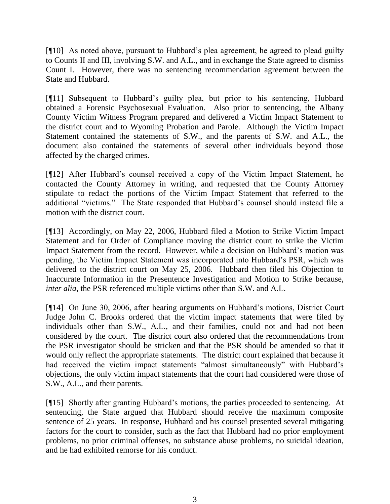[¶10] As noted above, pursuant to Hubbard's plea agreement, he agreed to plead guilty to Counts II and III, involving S.W. and A.L., and in exchange the State agreed to dismiss Count I. However, there was no sentencing recommendation agreement between the State and Hubbard.

[¶11] Subsequent to Hubbard's guilty plea, but prior to his sentencing, Hubbard obtained a Forensic Psychosexual Evaluation. Also prior to sentencing, the Albany County Victim Witness Program prepared and delivered a Victim Impact Statement to the district court and to Wyoming Probation and Parole. Although the Victim Impact Statement contained the statements of S.W., and the parents of S.W. and A.L., the document also contained the statements of several other individuals beyond those affected by the charged crimes.

[¶12] After Hubbard's counsel received a copy of the Victim Impact Statement, he contacted the County Attorney in writing, and requested that the County Attorney stipulate to redact the portions of the Victim Impact Statement that referred to the additional "victims." The State responded that Hubbard's counsel should instead file a motion with the district court.

[¶13] Accordingly, on May 22, 2006, Hubbard filed a Motion to Strike Victim Impact Statement and for Order of Compliance moving the district court to strike the Victim Impact Statement from the record. However, while a decision on Hubbard's motion was pending, the Victim Impact Statement was incorporated into Hubbard's PSR, which was delivered to the district court on May 25, 2006. Hubbard then filed his Objection to Inaccurate Information in the Presentence Investigation and Motion to Strike because, *inter alia*, the PSR referenced multiple victims other than S.W. and A.L.

[¶14] On June 30, 2006, after hearing arguments on Hubbard's motions, District Court Judge John C. Brooks ordered that the victim impact statements that were filed by individuals other than S.W., A.L., and their families, could not and had not been considered by the court. The district court also ordered that the recommendations from the PSR investigator should be stricken and that the PSR should be amended so that it would only reflect the appropriate statements. The district court explained that because it had received the victim impact statements "almost simultaneously" with Hubbard's objections, the only victim impact statements that the court had considered were those of S.W., A.L., and their parents.

[¶15] Shortly after granting Hubbard's motions, the parties proceeded to sentencing. At sentencing, the State argued that Hubbard should receive the maximum composite sentence of 25 years. In response, Hubbard and his counsel presented several mitigating factors for the court to consider, such as the fact that Hubbard had no prior employment problems, no prior criminal offenses, no substance abuse problems, no suicidal ideation, and he had exhibited remorse for his conduct.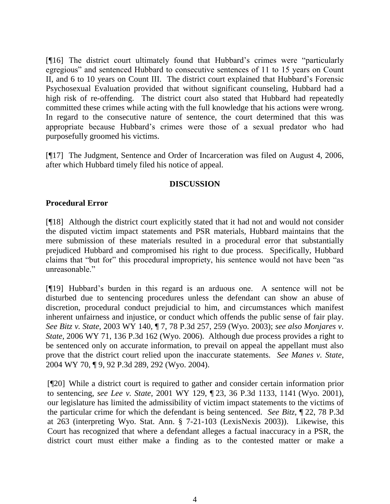[¶16] The district court ultimately found that Hubbard's crimes were "particularly egregious" and sentenced Hubbard to consecutive sentences of 11 to 15 years on Count II, and 6 to 10 years on Count III. The district court explained that Hubbard's Forensic Psychosexual Evaluation provided that without significant counseling, Hubbard had a high risk of re-offending. The district court also stated that Hubbard had repeatedly committed these crimes while acting with the full knowledge that his actions were wrong. In regard to the consecutive nature of sentence, the court determined that this was appropriate because Hubbard's crimes were those of a sexual predator who had purposefully groomed his victims.

[¶17] The Judgment, Sentence and Order of Incarceration was filed on August 4, 2006, after which Hubbard timely filed his notice of appeal.

# **DISCUSSION**

### **Procedural Error**

[¶18] Although the district court explicitly stated that it had not and would not consider the disputed victim impact statements and PSR materials, Hubbard maintains that the mere submission of these materials resulted in a procedural error that substantially prejudiced Hubbard and compromised his right to due process. Specifically, Hubbard claims that "but for" this procedural impropriety, his sentence would not have been "as unreasonable."

[¶19] Hubbard's burden in this regard is an arduous one. A sentence will not be disturbed due to sentencing procedures unless the defendant can show an abuse of discretion, procedural conduct prejudicial to him, and circumstances which manifest inherent unfairness and injustice, or conduct which offends the public sense of fair play. *See Bitz v. State,* 2003 WY 140, ¶ 7, 78 P.3d 257, 259 (Wyo. 2003); *see also Monjares v. State*, 2006 WY 71, 136 P.3d 162 (Wyo. 2006). Although due process provides a right to be sentenced only on accurate information, to prevail on appeal the appellant must also prove that the district court relied upon the inaccurate statements. *See Manes v. State*, 2004 WY 70, ¶ 9, 92 P.3d 289, 292 (Wyo. 2004).

[¶20] While a district court is required to gather and consider certain information prior to sentencing, *see Lee v. State*, 2001 WY 129, ¶ 23, 36 P.3d 1133, 1141 (Wyo. 2001), our legislature has limited the admissibility of victim impact statements to the victims of the particular crime for which the defendant is being sentenced. *See Bitz*, ¶ 22, 78 P.3d at 263 (interpreting Wyo. Stat. Ann. § 7-21-103 (LexisNexis 2003)). Likewise, this Court has recognized that where a defendant alleges a factual inaccuracy in a PSR, the district court must either make a finding as to the contested matter or make a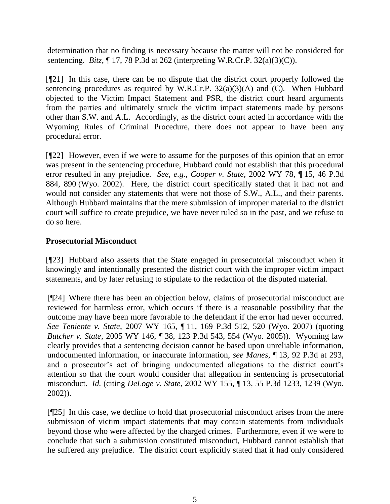determination that no finding is necessary because the matter will not be considered for sentencing. *Bitz*, ¶ 17, 78 P.3d at 262 (interpreting W.R.Cr.P. 32(a)(3)(C)).

[¶21] In this case, there can be no dispute that the district court properly followed the sentencing procedures as required by W.R.Cr.P.  $32(a)(3)(A)$  and (C). When Hubbard objected to the Victim Impact Statement and PSR, the district court heard arguments from the parties and ultimately struck the victim impact statements made by persons other than S.W. and A.L. Accordingly, as the district court acted in accordance with the Wyoming Rules of Criminal Procedure, there does not appear to have been any procedural error.

[¶22] However, even if we were to assume for the purposes of this opinion that an error was present in the sentencing procedure, Hubbard could not establish that this procedural error resulted in any prejudice. *See, e.g., Cooper v. State*, 2002 WY 78, ¶ 15, 46 P.3d 884, 890 (Wyo. 2002). Here, the district court specifically stated that it had not and would not consider any statements that were not those of S.W., A.L., and their parents. Although Hubbard maintains that the mere submission of improper material to the district court will suffice to create prejudice, we have never ruled so in the past, and we refuse to do so here.

# **Prosecutorial Misconduct**

[¶23] Hubbard also asserts that the State engaged in prosecutorial misconduct when it knowingly and intentionally presented the district court with the improper victim impact statements, and by later refusing to stipulate to the redaction of the disputed material.

[¶24] Where there has been an objection below, claims of prosecutorial misconduct are reviewed for harmless error, which occurs if there is a reasonable possibility that the outcome may have been more favorable to the defendant if the error had never occurred. *See Teniente v. State*, 2007 WY 165, ¶ 11, 169 P.3d 512, 520 (Wyo. 2007) (quoting *Butcher v. State,* 2005 WY 146, ¶ 38, 123 P.3d 543, 554 (Wyo. 2005)). Wyoming law clearly provides that a sentencing decision cannot be based upon unreliable information, undocumented information, or inaccurate information, *see Manes*, ¶ 13, 92 P.3d at 293, and a prosecutor's act of bringing undocumented allegations to the district court's attention so that the court would consider that allegation in sentencing is prosecutorial misconduct. *Id.* (citing *DeLoge v. State,* 2002 WY 155, ¶ 13, 55 P.3d 1233, 1239 (Wyo. 2002)).

[¶25] In this case, we decline to hold that prosecutorial misconduct arises from the mere submission of victim impact statements that may contain statements from individuals beyond those who were affected by the charged crimes. Furthermore, even if we were to conclude that such a submission constituted misconduct, Hubbard cannot establish that he suffered any prejudice. The district court explicitly stated that it had only considered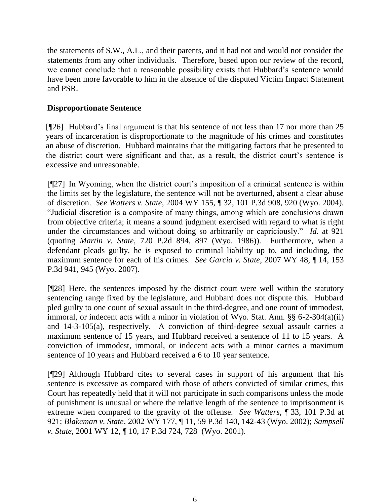the statements of S.W., A.L., and their parents, and it had not and would not consider the statements from any other individuals. Therefore, based upon our review of the record, we cannot conclude that a reasonable possibility exists that Hubbard's sentence would have been more favorable to him in the absence of the disputed Victim Impact Statement and PSR.

### **Disproportionate Sentence**

[¶26] Hubbard's final argument is that his sentence of not less than 17 nor more than 25 years of incarceration is disproportionate to the magnitude of his crimes and constitutes an abuse of discretion. Hubbard maintains that the mitigating factors that he presented to the district court were significant and that, as a result, the district court's sentence is excessive and unreasonable.

[¶27] In Wyoming, when the district court's imposition of a criminal sentence is within the limits set by the legislature, the sentence will not be overturned, absent a clear abuse of discretion. *See Watters v. State*, 2004 WY 155, ¶ 32, 101 P.3d 908, 920 (Wyo. 2004). "Judicial discretion is a composite of many things, among which are conclusions drawn from objective criteria; it means a sound judgment exercised with regard to what is right under the circumstances and without doing so arbitrarily or capriciously." *Id.* at 921 (quoting *Martin v. State,* 720 P.2d 894, 897 (Wyo. 1986)). Furthermore, when a defendant pleads guilty, he is exposed to criminal liability up to, and including, the maximum sentence for each of his crimes. *See Garcia v. State*, 2007 WY 48, ¶ 14, 153 P.3d 941, 945 (Wyo. 2007).

[¶28] Here, the sentences imposed by the district court were well within the statutory sentencing range fixed by the legislature, and Hubbard does not dispute this. Hubbard pled guilty to one count of sexual assault in the third-degree, and one count of immodest, immoral, or indecent acts with a minor in violation of Wyo. Stat. Ann. §§ 6-2-304(a)(ii) and 14-3-105(a), respectively. A conviction of third-degree sexual assault carries a maximum sentence of 15 years, and Hubbard received a sentence of 11 to 15 years. A conviction of immodest, immoral, or indecent acts with a minor carries a maximum sentence of 10 years and Hubbard received a 6 to 10 year sentence.

[¶29] Although Hubbard cites to several cases in support of his argument that his sentence is excessive as compared with those of others convicted of similar crimes, this Court has repeatedly held that it will not participate in such comparisons unless the mode of punishment is unusual or where the relative length of the sentence to imprisonment is extreme when compared to the gravity of the offense. *See Watters*, ¶ 33, 101 P.3d at 921; *Blakeman v. State*, 2002 WY 177, ¶ 11, 59 P.3d 140, 142-43 (Wyo. 2002); *Sampsell v. State*, 2001 WY 12, ¶ 10, 17 P.3d 724, 728 (Wyo. 2001).